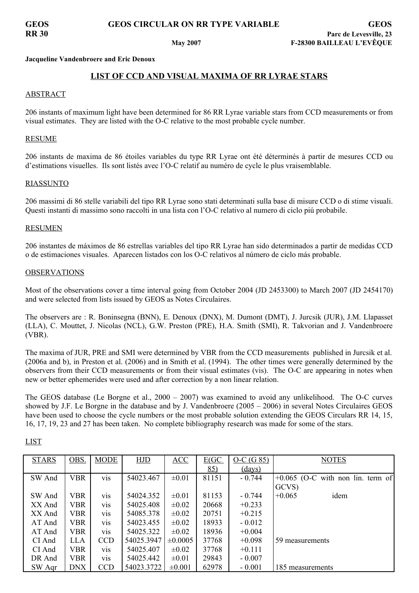**Jacqueline Vandenbroere and Eric Denoux**

# **LIST OF CCD AND VISUAL MAXIMA OF RR LYRAE STARS**

## ABSTRACT

206 instants of maximum light have been determined for 86 RR Lyrae variable stars from CCD measurements or from visual estimates. They are listed with the O-C relative to the most probable cycle number.

### RESUME

206 instants de maxima de 86 étoiles variables du type RR Lyrae ont été déterminés à partir de mesures CCD ou d'estimations visuelles. Ils sont listés avec l'O-C relatif au numéro de cycle le plus vraisemblable.

### RIASSUNTO

206 massimi di 86 stelle variabili del tipo RR Lyrae sono stati determinati sulla base di misure CCD o di stime visuali. Questi instanti di massimo sono raccolti in una lista con l'O-C relativo al numero di ciclo piú probabile.

### RESUMEN

206 instantes de máximos de 86 estrellas variables del tipo RR Lyrae han sido determinados a partir de medidas CCD o de estimaciones visuales. Aparecen listados con los O-C relativos al número de ciclo más probable.

### **OBSERVATIONS**

Most of the observations cover a time interval going from October 2004 (JD 2453300) to March 2007 (JD 2454170) and were selected from lists issued by GEOS as Notes Circulaires.

The observers are : R. Boninsegna (BNN), E. Denoux (DNX), M. Dumont (DMT), J. Jurcsik (JUR), J.M. Llapasset (LLA), C. Mouttet, J. Nicolas (NCL), G.W. Preston (PRE), H.A. Smith (SMI), R. Takvorian and J. Vandenbroere (VBR).

The maxima of JUR, PRE and SMI were determined by VBR from the CCD measurements published in Jurcsik et al. (2006a and b), in Preston et al. (2006) and in Smith et al. (1994). The other times were generally determined by the observers from their CCD measurements or from their visual estimates (vis). The O-C are appearing in notes when new or better ephemerides were used and after correction by a non linear relation.

The GEOS database (Le Borgne et al., 2000 – 2007) was examined to avoid any unlikelihood. The O-C curves showed by J.F. Le Borgne in the database and by J. Vandenbroere (2005 – 2006) in several Notes Circulaires GEOS have been used to choose the cycle numbers or the most probable solution extending the GEOS Circulars RR 14, 15, 16, 17, 19, 23 and 27 has been taken. No complete bibliography research was made for some of the stars.

| <b>STARS</b> | OBS.       | <b>MODE</b>      | HJD        | ACC          | E(GC) | $O-C(G 85)$ | <b>NOTES</b>                        |
|--------------|------------|------------------|------------|--------------|-------|-------------|-------------------------------------|
|              |            |                  |            |              | 85)   | (days)      |                                     |
| SW And       | <b>VBR</b> | vis              | 54023.467  | $\pm 0.01$   | 81151 | $-0.744$    | $+0.065$ (O-C with non lin. term of |
|              |            |                  |            |              |       |             | GCVS)                               |
| SW And       | <b>VBR</b> | <b>VIS</b>       | 54024.352  | $\pm 0.01$   | 81153 | $-0.744$    | idem<br>$+0.065$                    |
| XX And       | <b>VBR</b> | vis              | 54025.408  | $\pm 0.02$   | 20668 | $+0.233$    |                                     |
| XX And       | <b>VBR</b> | vis              | 54085.378  | $\pm 0.02$   | 20751 | $+0.215$    |                                     |
| AT And       | <b>VBR</b> | vis              | 54023.455  | $\pm 0.02$   | 18933 | $-0.012$    |                                     |
| AT And       | <b>VBR</b> | vis              | 54025.322  | $\pm 0.02$   | 18936 | $+0.004$    |                                     |
| CI And       | <b>LLA</b> | <b>CCD</b>       | 54025.3947 | $\pm 0.0005$ | 37768 | $+0.098$    | 59 measurements                     |
| CI And       | <b>VBR</b> | V <sub>1</sub> S | 54025.407  | $\pm 0.02$   | 37768 | $+0.111$    |                                     |
| DR And       | <b>VBR</b> | vis              | 54025.442  | $\pm 0.01$   | 29843 | $-0.007$    |                                     |
| SW Agr       | <b>DNX</b> | <b>CCD</b>       | 54023.3722 | $\pm 0.001$  | 62978 | $-0.001$    | 185 measurements                    |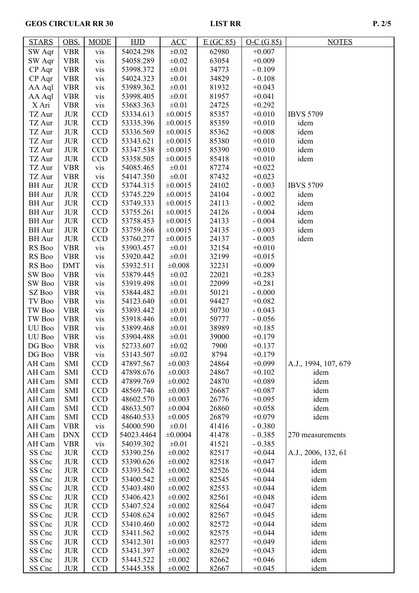## GEOS CIRCULAR RR 30 LIST RR P. 2/5

| <b>STARS</b>      | OBS.       | <b>MODE</b> | HJD        | ACC          | E(GC 85) | $O-C(G 85)$ | <b>NOTES</b>         |
|-------------------|------------|-------------|------------|--------------|----------|-------------|----------------------|
| SW Aqr            | <b>VBR</b> | vis         | 54024.298  | $\pm 0.02$   | 62980    | $+0.007$    |                      |
| SW Aqr            | <b>VBR</b> | vis         | 54058.289  | $\pm 0.02$   | 63054    | $+0.009$    |                      |
| CP Aqr            | <b>VBR</b> | vis         | 53998.372  | $\pm 0.01$   | 34773    | $-0.109$    |                      |
| CP Aqr            | <b>VBR</b> | vis         | 54024.323  | $\pm 0.01$   | 34829    | $-0.108$    |                      |
| AA Aql            | <b>VBR</b> | vis         | 53989.362  | $\pm 0.01$   | 81932    | $+0.043$    |                      |
| AA Aql            | <b>VBR</b> | vis         | 53998.405  | $\pm 0.01$   | 81957    | $+0.041$    |                      |
| X Ari             | <b>VBR</b> | vis         | 53683.363  | $\pm 0.01$   | 24725    | $+0.292$    |                      |
| TZ Aur            | <b>JUR</b> | <b>CCD</b>  | 53334.613  | $\pm 0.0015$ | 85357    | $+0.010$    | <b>IBVS 5709</b>     |
| TZ Aur            | <b>JUR</b> | <b>CCD</b>  | 53335.396  | $\pm 0.0015$ | 85359    | $+0.010$    | idem                 |
| TZ Aur            | <b>JUR</b> | <b>CCD</b>  | 53336.569  | $\pm 0.0015$ | 85362    | $+0.008$    | idem                 |
| TZ Aur            | <b>JUR</b> | <b>CCD</b>  | 53343.621  | ±0.0015      | 85380    | $+0.010$    | idem                 |
| TZ Aur            | <b>JUR</b> | <b>CCD</b>  | 53347.538  | $\pm 0.0015$ | 85390    | $+0.010$    | idem                 |
| TZ Aur            | <b>JUR</b> | <b>CCD</b>  | 53358.505  | $\pm 0.0015$ | 85418    | $+0.010$    | idem                 |
| TZ Aur            | <b>VBR</b> | vis         | 54085.465  | $\pm 0.01$   | 87274    | $+0.022$    |                      |
| TZ Aur            |            |             | 54147.350  | $\pm 0.01$   |          | $+0.023$    |                      |
|                   | <b>VBR</b> | vis         |            |              | 87432    |             | <b>IBVS 5709</b>     |
| <b>BH</b> Aur     | <b>JUR</b> | <b>CCD</b>  | 53744.315  | $\pm 0.0015$ | 24102    | $-0.003$    |                      |
| <b>BH</b> Aur     | <b>JUR</b> | <b>CCD</b>  | 53745.229  | $\pm 0.0015$ | 24104    | $-0.002$    | idem                 |
| <b>BH</b> Aur     | <b>JUR</b> | <b>CCD</b>  | 53749.333  | $\pm 0.0015$ | 24113    | $-0.002$    | idem                 |
| <b>BH</b> Aur     | <b>JUR</b> | <b>CCD</b>  | 53755.261  | $\pm 0.0015$ | 24126    | $-0.004$    | idem                 |
| <b>BH</b> Aur     | <b>JUR</b> | <b>CCD</b>  | 53758.453  | ±0.0015      | 24133    | $-0.004$    | idem                 |
| <b>BH</b> Aur     | <b>JUR</b> | <b>CCD</b>  | 53759.366  | $\pm 0.0015$ | 24135    | $-0.003$    | idem                 |
| <b>BH</b> Aur     | <b>JUR</b> | <b>CCD</b>  | 53760.277  | $\pm 0.0015$ | 24137    | $-0.005$    | idem                 |
| RS Boo            | <b>VBR</b> | vis         | 53903.457  | $\pm 0.01$   | 32154    | $+0.010$    |                      |
| RS Boo            | <b>VBR</b> | vis         | 53920.442  | $\pm 0.01$   | 32199    | $+0.015$    |                      |
| RS Boo            | <b>DMT</b> | vis         | 53932.511  | ±0.008       | 32231    | $+0.009$    |                      |
| SW Boo            | <b>VBR</b> | vis         | 53879.445  | $\pm 0.02$   | 22021    | $+0.283$    |                      |
| SW Boo            | <b>VBR</b> | vis         | 53919.498  | $\pm 0.01$   | 22099    | $+0.281$    |                      |
| $\mathbf{SZ}$ Boo | <b>VBR</b> | vis         | 53844.482  | $\pm 0.01$   | 50121    | $-0.000$    |                      |
| TV Boo            | <b>VBR</b> | vis         | 54123.640  | $\pm 0.01$   | 94427    | $+0.082$    |                      |
| TW Boo            | <b>VBR</b> | vis         | 53893.442  | $\pm 0.01$   | 50730    | $-0.043$    |                      |
| TW Boo            | <b>VBR</b> | vis         | 53918.446  | $\pm 0.01$   | 50777    | $-0.056$    |                      |
| UU Boo            | <b>VBR</b> | vis         | 53899.468  | $\pm 0.01$   | 38989    | $+0.185$    |                      |
| UU Boo            | <b>VBR</b> | vis         | 53904.488  | $\pm 0.01$   | 39000    | $+0.179$    |                      |
| DG Boo            | <b>VBR</b> | vis         | 52733.607  | $\pm 0.02$   | 7900     | $+0.137$    |                      |
| DG Boo            | <b>VBR</b> | vis         | 53143.507  | $\pm 0.02$   | 8794     | $+0.179$    |                      |
| AH Cam            | SMI        | <b>CCD</b>  | 47897.567  | $\pm 0.003$  | 24864    | $+0.099$    | A.J., 1994, 107, 679 |
| AH Cam            | SMI        | <b>CCD</b>  | 47898.676  | $\pm 0.003$  | 24867    | $+0.102$    | idem                 |
| AH Cam            | SMI        | <b>CCD</b>  | 47899.769  | ±0.002       | 24870    | $+0.089$    | idem                 |
| AH Cam            | SMI        | <b>CCD</b>  | 48569.746  | $\pm 0.003$  | 26687    | $+0.087$    | idem                 |
| AH Cam            | SMI        | <b>CCD</b>  | 48602.570  | $\pm 0.003$  | 26776    | $+0.095$    | idem                 |
| AH Cam            | SMI        | <b>CCD</b>  | 48633.507  | ±0.004       | 26860    | $+0.058$    | idem                 |
| AH Cam            | SMI        | <b>CCD</b>  | 48640.533  | $\pm 0.005$  | 26879    | $+0.079$    | idem                 |
| AH Cam            | <b>VBR</b> | vis         | 54000.590  | $\pm 0.01$   | 41416    | $-0.380$    |                      |
| AH Cam            | <b>DNX</b> | <b>CCD</b>  | 54023.4464 | ±0.0004      | 41478    | $-0.385$    | 270 measurements     |
| AH Cam            | <b>VBR</b> | vis         | 54039.302  | $\pm 0.01$   | 41521    | $-0.385$    |                      |
| SS Cnc            | <b>JUR</b> | <b>CCD</b>  | 53390.256  | ±0.002       | 82517    | $+0.044$    | A.J., 2006, 132, 61  |
| SS Cnc            | <b>JUR</b> | <b>CCD</b>  | 53390.626  | ±0.002       | 82518    | $+0.047$    | idem                 |
| SS Cnc            | <b>JUR</b> | <b>CCD</b>  | 53393.562  | ±0.002       | 82526    | $+0.044$    | idem                 |
| SS Cnc            | <b>JUR</b> | <b>CCD</b>  | 53400.542  | ±0.002       | 82545    | $+0.044$    | idem                 |
| SS Cnc            | <b>JUR</b> | <b>CCD</b>  | 53403.480  | ±0.002       | 82553    | $+0.044$    | idem                 |
| SS Cnc            | <b>JUR</b> | <b>CCD</b>  | 53406.423  | ±0.002       | 82561    | $+0.048$    | idem                 |
| SS Cnc            | <b>JUR</b> | <b>CCD</b>  | 53407.524  | ±0.002       | 82564    | $+0.047$    | idem                 |
| SS Cnc            | <b>JUR</b> | <b>CCD</b>  | 53408.624  | ±0.002       | 82567    | $+0.045$    | idem                 |
| SS Cnc            | <b>JUR</b> | <b>CCD</b>  | 53410.460  | ±0.002       | 82572    | $+0.044$    | idem                 |
| SS Cnc            | <b>JUR</b> | <b>CCD</b>  | 53411.562  | ±0.002       | 82575    | $+0.044$    | idem                 |
| SS Cnc            | <b>JUR</b> | <b>CCD</b>  | 53412.301  | $\pm 0.003$  | 82577    | $+0.049$    | idem                 |
| SS Cnc            | <b>JUR</b> | <b>CCD</b>  | 53431.397  | ±0.002       | 82629    | $+0.043$    | idem                 |
| SS Cnc            | <b>JUR</b> | <b>CCD</b>  | 53443.522  | $\pm 0.002$  | 82662    | $+0.046$    | idem                 |

SS Cnc | JUR | CCD | 53445.358 |  $\pm 0.002$  | 82667 | +0.045 | idem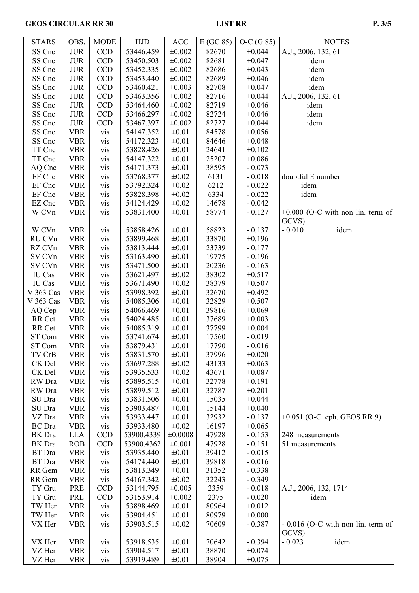## GEOS CIRCULAR RR 30 LIST RR P. 3/5

| <b>STARS</b>  | OBS.       | <b>MODE</b> | HJD        | ACC         | E(GC 85) | $O-C(G 85)$ | <b>NOTES</b>                        |
|---------------|------------|-------------|------------|-------------|----------|-------------|-------------------------------------|
| SS Cnc        | <b>JUR</b> | <b>CCD</b>  | 53446.459  | $\pm 0.002$ | 82670    | $+0.044$    | A.J., 2006, 132, 61                 |
| SS Cnc        | <b>JUR</b> | <b>CCD</b>  | 53450.503  | ±0.002      | 82681    | $+0.047$    | idem                                |
| SS Cnc        | <b>JUR</b> | <b>CCD</b>  | 53452.335  | ±0.002      | 82686    | $+0.043$    | idem                                |
| SS Cnc        | <b>JUR</b> | CCD         | 53453.440  | ±0.002      | 82689    | $+0.046$    | idem                                |
| SS Cnc        | <b>JUR</b> | <b>CCD</b>  | 53460.421  | ±0.003      | 82708    | $+0.047$    | idem                                |
| SS Cnc        | <b>JUR</b> | <b>CCD</b>  | 53463.356  | ±0.002      | 82716    | $+0.044$    | A.J., 2006, 132, 61                 |
| SS Cnc        | <b>JUR</b> | <b>CCD</b>  | 53464.460  | ±0.002      | 82719    | $+0.046$    | idem                                |
| SS Cnc        | <b>JUR</b> | <b>CCD</b>  | 53466.297  | $\pm 0.002$ | 82724    | $+0.046$    | idem                                |
| SS Cnc        | <b>JUR</b> | <b>CCD</b>  | 53467.397  | $\pm 0.002$ | 82727    | $+0.044$    | idem                                |
| SS Cnc        | <b>VBR</b> | vis         | 54147.352  | $\pm 0.01$  | 84578    | $+0.056$    |                                     |
| SS Cnc        | <b>VBR</b> | vis         | 54172.323  | $\pm 0.01$  | 84646    | $+0.048$    |                                     |
| TT Cnc        | <b>VBR</b> | vis         | 53828.426  | $\pm 0.01$  | 24641    | $+0.102$    |                                     |
| TT Cnc        | <b>VBR</b> | vis         | 54147.322  | $\pm 0.01$  | 25207    | $+0.086$    |                                     |
| AQ Cnc        | <b>VBR</b> | vis         | 54171.373  | $\pm 0.01$  | 38595    | $-0.073$    |                                     |
| EF Cnc        | <b>VBR</b> | vis         | 53768.377  | $\pm 0.02$  | 6131     | $-0.018$    | doubtful E number                   |
| EF Cnc        | <b>VBR</b> | vis         | 53792.324  | $\pm 0.02$  | 6212     | $-0.022$    | idem                                |
| EF Cnc        |            |             | 53828.398  |             | 6334     |             | idem                                |
| EZ Cnc        | <b>VBR</b> | vis         |            | $\pm 0.02$  |          | $-0.022$    |                                     |
|               | <b>VBR</b> | vis         | 54124.429  | $\pm 0.02$  | 14678    | $-0.042$    |                                     |
| W CVn         | <b>VBR</b> | vis         | 53831.400  | $\pm 0.01$  | 58774    | $-0.127$    | $+0.000$ (O-C with non lin. term of |
|               |            |             |            |             |          |             | GCVS)                               |
| W CVn         | <b>VBR</b> | vis         | 53858.426  | $\pm 0.01$  | 58823    | $-0.137$    | $-0.010$<br>idem                    |
| RU CVn        | <b>VBR</b> | vis         | 53899.468  | $\pm 0.01$  | 33870    | $+0.196$    |                                     |
| RZ CVn        | <b>VBR</b> | vis         | 53813.444  | $\pm 0.01$  | 23739    | $-0.177$    |                                     |
| SV CVn        | <b>VBR</b> | vis         | 53163.490  | $\pm 0.01$  | 19775    | $-0.196$    |                                     |
| SV CVn        | <b>VBR</b> | vis         | 53471.500  | $\pm 0.01$  | 20236    | $-0.163$    |                                     |
| IU Cas        | <b>VBR</b> | vis         | 53621.497  | $\pm 0.02$  | 38302    | $+0.517$    |                                     |
| IU Cas        | <b>VBR</b> | vis         | 53671.490  | $\pm 0.02$  | 38379    | $+0.507$    |                                     |
| V 363 Cas     | <b>VBR</b> | vis         | 53998.392  | $\pm 0.01$  | 32670    | $+0.492$    |                                     |
| V 363 Cas     | <b>VBR</b> | vis         | 54085.306  | $\pm 0.01$  | 32829    | $+0.507$    |                                     |
| AQ Cep        | <b>VBR</b> | vis         | 54066.469  | $\pm 0.01$  | 39816    | $+0.069$    |                                     |
| RR Cet        | <b>VBR</b> | vis         | 54024.485  | $\pm 0.01$  | 37689    | $+0.003$    |                                     |
| RR Cet        | <b>VBR</b> | vis         | 54085.319  | $\pm 0.01$  | 37799    | $+0.004$    |                                     |
| ST Com        | <b>VBR</b> | vis         | 53741.674  | $\pm 0.01$  | 17560    | $-0.019$    |                                     |
| ST Com        | <b>VBR</b> | vis         | 53879.431  | $\pm 0.01$  | 17790    | $-0.016$    |                                     |
| TV CrB        | <b>VBR</b> | vis         | 53831.570  | $\pm 0.01$  | 37996    | $+0.020$    |                                     |
| CK Del        | <b>VBR</b> | vis         | 53697.288  | $\pm 0.02$  | 43133    | $+0.063$    |                                     |
| CK Del        | <b>VBR</b> | vis         | 53935.533  | $\pm 0.02$  | 43671    | $+0.087$    |                                     |
| RW Dra        | <b>VBR</b> | vis         | 53895.515  | $\pm 0.01$  | 32778    | $+0.191$    |                                     |
| RW Dra        | <b>VBR</b> | vis         | 53899.512  | $\pm 0.01$  | 32787    | $+0.201$    |                                     |
| SU Dra        | <b>VBR</b> | vis         | 53831.506  | $\pm 0.01$  | 15035    | $+0.044$    |                                     |
| SU Dra        | <b>VBR</b> | vis         | 53903.487  | $\pm 0.01$  | 15144    | $+0.040$    |                                     |
| VZ Dra        | <b>VBR</b> | vis         | 53933.447  | $\pm 0.01$  | 32932    | $-0.137$    | $+0.051$ (O-C eph. GEOS RR 9)       |
| <b>BC</b> Dra | <b>VBR</b> | vis         | 53933.480  | $\pm 0.02$  | 16197    | $+0.065$    |                                     |
| BK Dra        | <b>LLA</b> | <b>CCD</b>  | 53900.4339 | ±0.0008     | 47928    | $-0.153$    | 248 measurements                    |
| BK Dra        | <b>ROB</b> | <b>CCD</b>  | 53900.4362 | ±0.001      | 47928    | $-0.151$    | 51 measurements                     |
| BT Dra        | <b>VBR</b> | vis         | 53935.440  | $\pm 0.01$  | 39412    | $-0.015$    |                                     |
| BT Dra        | <b>VBR</b> | vis         | 54174.440  | $\pm 0.01$  | 39818    | $-0.016$    |                                     |
| RR Gem        | <b>VBR</b> | vis         | 53813.349  | $\pm 0.01$  | 31352    | $-0.338$    |                                     |
| RR Gem        | <b>VBR</b> | vis         | 54167.342  | $\pm 0.02$  | 32243    | $-0.349$    |                                     |
| TY Gru        | <b>PRE</b> | <b>CCD</b>  | 53144.795  | ±0.005      | 2359     | $-0.018$    | A.J., 2006, 132, 1714               |
| TY Gru        | PRE        | <b>CCD</b>  | 53153.914  | ±0.002      | 2375     | $-0.020$    | idem                                |
| TW Her        | <b>VBR</b> | vis         | 53898.469  | $\pm 0.01$  | 80964    | $+0.012$    |                                     |
| TW Her        | <b>VBR</b> | vis         | 53904.451  | $\pm 0.01$  | 80979    | $+0.000$    |                                     |
| VX Her        | <b>VBR</b> | vis         | 53903.515  | $\pm 0.02$  | 70609    | $-0.387$    | $-0.016$ (O-C with non lin. term of |
|               |            |             |            |             |          |             | GCVS)                               |
| VX Her        | <b>VBR</b> | vis         | 53918.535  | $\pm 0.01$  | 70642    | $-0.394$    | idem<br>$-0.023$                    |
| VZ Her        | <b>VBR</b> | vis         | 53904.517  | $\pm 0.01$  | 38870    | $+0.074$    |                                     |
| VZ Her        | <b>VBR</b> | vis         | 53919.489  | $\pm 0.01$  | 38904    | $+0.075$    |                                     |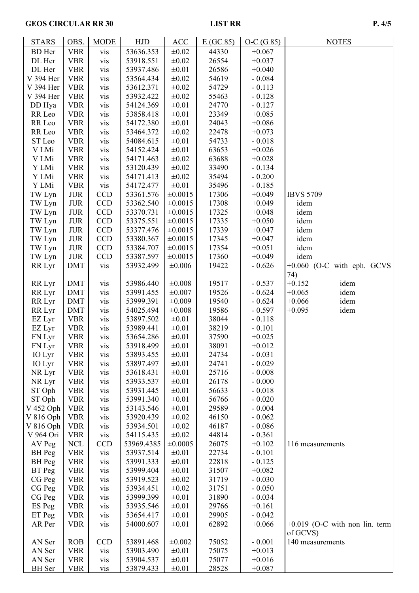## GEOS CIRCULAR RR 30 LIST RR P. 4/5

| <b>STARS</b>           | OBS.                     | <b>MODE</b>       | HJD                     | ACC                        | E(GC 85)       | $O-C(G 85)$          | <b>NOTES</b>                     |
|------------------------|--------------------------|-------------------|-------------------------|----------------------------|----------------|----------------------|----------------------------------|
| <b>BD</b> Her          | <b>VBR</b>               | vis               | 53636.353               | $\pm 0.02$                 | 44330          | $+0.067$             |                                  |
| DL Her                 | <b>VBR</b>               | vis               | 53918.551               | $\pm 0.02$                 | 26554          | $+0.037$             |                                  |
| DL Her                 | <b>VBR</b>               | vis               | 53937.486               | $\pm 0.01$                 | 26586          | $+0.040$             |                                  |
| V 394 Her              | <b>VBR</b>               | vis               | 53564.434               | $\pm 0.02$                 | 54619          | $-0.084$             |                                  |
| V 394 Her              | <b>VBR</b>               | vis               | 53612.371               | $\pm 0.02$                 | 54729          | $-0.113$             |                                  |
| V 394 Her              | <b>VBR</b>               | vis               | 53932.422               | $\pm 0.02$                 | 55463          | $-0.128$             |                                  |
| DD Hya                 | <b>VBR</b>               | vis               | 54124.369               | $\pm 0.01$                 | 24770          | $-0.127$             |                                  |
| RR Leo                 | <b>VBR</b>               | vis               | 53858.418               | $\pm 0.01$                 | 23349          | $+0.085$             |                                  |
| RR Leo                 | <b>VBR</b>               | vis               | 54172.380               | $\pm 0.01$                 | 24043          | $+0.086$             |                                  |
| RR Leo                 | <b>VBR</b>               | vis               | 53464.372               | $\pm 0.02$                 | 22478          | $+0.073$             |                                  |
| ST Leo                 | <b>VBR</b>               | vis               | 54084.615               | $\pm 0.01$                 | 54733          | $-0.018$             |                                  |
| V LMi                  | <b>VBR</b>               | vis               | 54152.424               | $\pm 0.01$                 | 63653          | $+0.026$             |                                  |
| V LMi                  | <b>VBR</b>               | vis               | 54171.463               | $\pm 0.02$                 | 63688          | $+0.028$             |                                  |
| Y LMi                  | <b>VBR</b>               | vis               | 53120.439               | $\pm 0.02$                 | 33490          | $-0.134$             |                                  |
| Y LMi                  | <b>VBR</b>               | vis               | 54171.413               | $\pm 0.02$                 | 35494          | $-0.200$             |                                  |
| Y LMi                  | <b>VBR</b>               | vis               | 54172.477               | $\pm 0.01$                 | 35496          | $-0.185$             |                                  |
| TW Lyn                 | <b>JUR</b>               | <b>CCD</b>        | 53361.576               | ±0.0015                    | 17306          | $+0.049$             | <b>IBVS 5709</b>                 |
| TW Lyn                 | <b>JUR</b>               | <b>CCD</b>        | 53362.540               | ±0.0015                    | 17308          | $+0.049$             | idem                             |
| TW Lyn                 | <b>JUR</b>               | <b>CCD</b>        | 53370.731               | ±0.0015                    | 17325          | $+0.048$             | idem                             |
| TW Lyn                 | <b>JUR</b>               | <b>CCD</b>        | 53375.551               | $\pm 0.0015$               | 17335          | $+0.050$             | idem                             |
| TW Lyn                 | <b>JUR</b>               | <b>CCD</b>        | 53377.476               | $\pm 0.0015$               | 17339          | $+0.047$             | idem                             |
| TW Lyn                 | <b>JUR</b>               | <b>CCD</b>        | 53380.367               | $\pm 0.0015$               | 17345          | $+0.047$             | idem                             |
| TW Lyn                 | <b>JUR</b>               | <b>CCD</b>        | 53384.707               | ±0.0015                    | 17354          | $+0.051$             | idem                             |
| TW Lyn                 | <b>JUR</b>               | <b>CCD</b>        | 53387.597               | ±0.0015                    | 17360          | $+0.049$             | idem                             |
| RR Lyr                 | <b>DMT</b>               | vis               | 53932.499               | ±0.006                     | 19422          | $-0.626$             | $+0.060$ (O-C with eph. GCVS     |
|                        |                          |                   |                         |                            |                |                      | 74)                              |
| RR Lyr                 | <b>DMT</b>               | vis               | 53986.440               | $\pm 0.008$                | 19517          | $-0.537$             | $+0.152$<br>idem                 |
| RR Lyr                 | <b>DMT</b>               | vis               | 53991.455               | $\pm 0.007$                | 19526          | $-0.624$             | idem<br>$+0.065$                 |
| RR Lyr                 | <b>DMT</b>               | vis               | 53999.391               | ±0.009                     | 19540          | $-0.624$             | idem<br>$+0.066$                 |
| RR Lyr                 | <b>DMT</b>               | vis               | 54025.494               | ±0.008                     | 19586          | $-0.597$             | idem<br>$+0.095$                 |
| EZ Lyr                 | <b>VBR</b>               | vis               | 53897.502               | $\pm 0.01$                 | 38044          | $-0.118$             |                                  |
| EZ Lyr                 | <b>VBR</b>               | vis               | 53989.441               | $\pm 0.01$                 | 38219          | $-0.101$             |                                  |
| FN Lyr                 | <b>VBR</b>               | vis               | 53654.286               | $\pm 0.01$                 | 37590          | $+0.025$             |                                  |
| FN Lyr                 | <b>VBR</b>               | vis               | 53918.499               | $\pm 0.01$                 | 38091          | $+0.012$             |                                  |
| IO Lyr                 | <b>VBR</b>               | vis               | 53893.455               | $\pm 0.01$                 | 24734          | $-0.031$             |                                  |
| IO Lyr                 | <b>VBR</b>               | vis               | 53897.497               | $\pm 0.01$                 | 24741          | $-0.029$             |                                  |
| NR Lyr                 | <b>VBR</b>               | vis               | 53618.431               | $\pm 0.01$                 | 25716          | $-0.008$             |                                  |
| NR Lyr                 | <b>VBR</b>               | vis               | 53933.537               | $\pm 0.01$                 | 26178          | $-0.000$             |                                  |
| ST Oph                 | <b>VBR</b>               | vis               | 53931.445               | $\pm 0.01$                 | 56633          | $-0.018$             |                                  |
| ST Oph                 | <b>VBR</b>               | vis               | 53991.340               | $\pm 0.01$                 | 56766          | $-0.020$             |                                  |
| V 452 Oph              | <b>VBR</b>               | vis               | 53143.546               | $\pm 0.01$                 | 29589          | $-0.004$             |                                  |
| V 816 Oph              | <b>VBR</b>               | vis               | 53920.439               | $\pm 0.02$                 | 46150          | $-0.062$             |                                  |
| V 816 Oph<br>V 964 Ori | <b>VBR</b>               | vis               | 53934.501               | $\pm 0.02$                 | 46187          | $-0.086$             |                                  |
|                        | <b>VBR</b>               | vis<br><b>CCD</b> | 54115.435<br>53969.4385 | $\pm 0.02$<br>$\pm 0.0005$ | 44814          | $-0.361$<br>$+0.102$ |                                  |
| AV Peg<br>BH Peg       | <b>NCL</b><br><b>VBR</b> |                   | 53937.514               | $\pm 0.01$                 | 26075<br>22734 | $-0.101$             | 116 measurements                 |
| BH Peg                 | <b>VBR</b>               | vis               | 53991.333               | $\pm 0.01$                 | 22818          | $-0.125$             |                                  |
| BT Peg                 | <b>VBR</b>               | vis<br>vis        | 53999.404               | $\pm 0.01$                 | 31507          | $+0.082$             |                                  |
| CG Peg                 | <b>VBR</b>               | vis               | 53919.523               | $\pm 0.02$                 | 31719          | $-0.030$             |                                  |
| CG Peg                 | <b>VBR</b>               | vis               | 53934.451               | $\pm 0.02$                 | 31751          | $-0.050$             |                                  |
| CG Peg                 | <b>VBR</b>               | vis               | 53999.399               | $\pm 0.01$                 | 31890          | $-0.034$             |                                  |
| ES Peg                 | <b>VBR</b>               | vis               | 53935.546               | $\pm 0.01$                 | 29766          | $+0.161$             |                                  |
| ET Peg                 | <b>VBR</b>               | vis               | 53654.417               | $\pm 0.01$                 | 29905          | $-0.042$             |                                  |
| AR Per                 | <b>VBR</b>               | vis               | 54000.607               | $\pm 0.01$                 | 62892          | $+0.066$             | $+0.019$ (O-C with non lin. term |
|                        |                          |                   |                         |                            |                |                      | of GCVS)                         |
| AN Ser                 | <b>ROB</b>               | <b>CCD</b>        | 53891.468               | ±0.002                     | 75052          | $-0.001$             | 140 measurements                 |
| AN Ser                 | <b>VBR</b>               | vis               | 53903.490               | $\pm 0.01$                 | 75075          | $+0.013$             |                                  |
| AN Ser                 | <b>VBR</b>               | vis               | 53904.537               | $\pm 0.01$                 | 75077          | $+0.016$             |                                  |
| <b>BH</b> Ser          | <b>VBR</b>               | vis               | 53879.433               | $\pm 0.01$                 | 28528          | $+0.087$             |                                  |